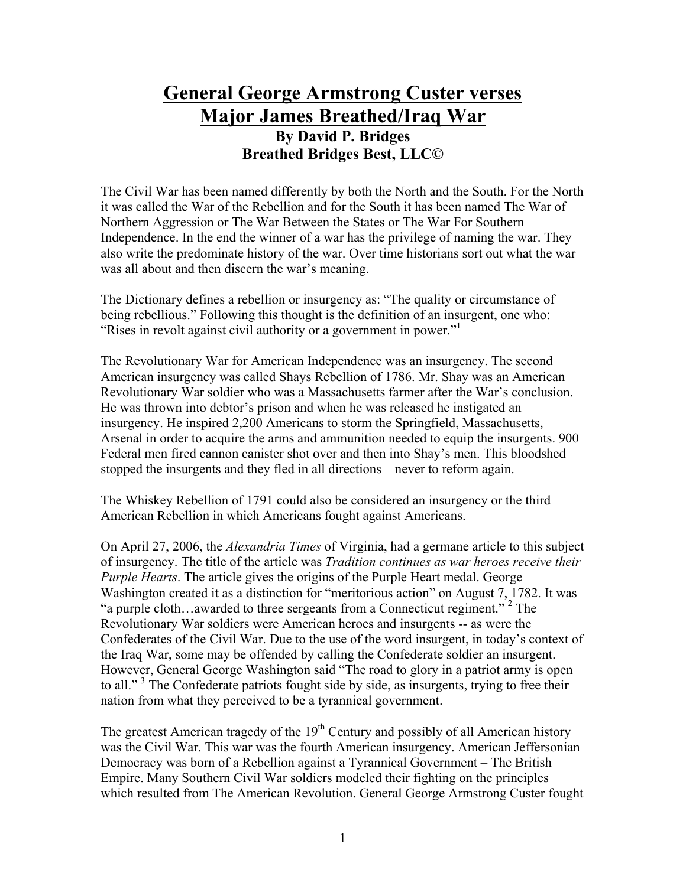## **General George Armstrong Custer verses Major James Breathed/Iraq War**

## **By David P. Bridges Breathed Bridges Best, LLC©**

The Civil War has been named differently by both the North and the South. For the North it was called the War of the Rebellion and for the South it has been named The War of Northern Aggression or The War Between the States or The War For Southern Independence. In the end the winner of a war has the privilege of naming the war. They also write the predominate history of the war. Over time historians sort out what the war was all about and then discern the war's meaning.

The Dictionary defines a rebellion or insurgency as: "The quality or circumstance of being rebellious." Following this thought is the definition of an insurgent, one who: "Rises in revolt against civil authority or a government in power."

The Revolutionary War for American Independence was an insurgency. The second American insurgency was called Shays Rebellion of 1786. Mr. Shay was an American Revolutionary War soldier who was a Massachusetts farmer after the War's conclusion. He was thrown into debtor's prison and when he was released he instigated an insurgency. He inspired 2,200 Americans to storm the Springfield, Massachusetts, Arsenal in order to acquire the arms and ammunition needed to equip the insurgents. 900 Federal men fired cannon canister shot over and then into Shay's men. This bloodshed stopped the insurgents and they fled in all directions – never to reform again.

The Whiskey Rebellion of 1791 could also be considered an insurgency or the third American Rebellion in which Americans fought against Americans.

On April 27, 2006, the *Alexandria Times* of Virginia, had a germane article to this subject of insurgency. The title of the article was *Tradition continues as war heroes receive their Purple Hearts*. The article gives the origins of the Purple Heart medal. George Washington created it as a distinction for "meritorious action" on August 7, 1782. It was "a purple cloth... awarded to three sergeants from a Connecticut regiment."<sup>2</sup> The Revolutionary War soldiers were American heroes and insurgents -- as were the Confederates of the Civil War. Due to the use of the word insurgent, in today's context of the Iraq War, some may be offended by calling the Confederate soldier an insurgent. However, General George Washington said "The road to glory in a patriot army is open to all."<sup>3</sup> The Confederate patriots fought side by side, as insurgents, trying to free their nation from what they perceived to be a tyrannical government.

The greatest American tragedy of the  $19<sup>th</sup>$  Century and possibly of all American history was the Civil War. This war was the fourth American insurgency. American Jeffersonian Democracy was born of a Rebellion against a Tyrannical Government – The British Empire. Many Southern Civil War soldiers modeled their fighting on the principles which resulted from The American Revolution. General George Armstrong Custer fought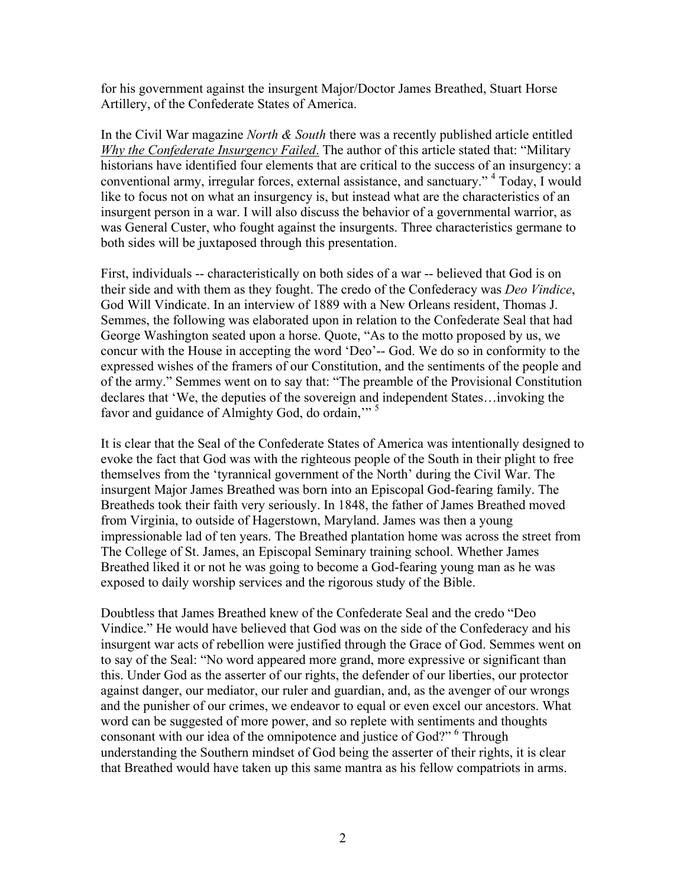for his government against the insurgent Major/Doctor James Breathed, Stuart Horse Artillery, of the Confederate States of America.

In the Civil War magazine *North & South* there was a recently published article entitled *Why the Confederate Insurgency Failed*. The author of this article stated that: "Military historians have identified four elements that are critical to the success of an insurgency: a conventional army, irregular forces, external assistance, and sanctuary." <sup>4</sup> Today, I would like to focus not on what an insurgency is, but instead what are the characteristics of an insurgent person in a war. I will also discuss the behavior of a governmental warrior, as was General Custer, who fought against the insurgents. Three characteristics germane to both sides will be juxtaposed through this presentation.

First, individuals -- characteristically on both sides of a war -- believed that God is on their side and with them as they fought. The credo of the Confederacy was *Deo Vindice*, God Will Vindicate. In an interview of 1889 with a New Orleans resident, Thomas J. Semmes, the following was elaborated upon in relation to the Confederate Seal that had George Washington seated upon a horse. Quote, "As to the motto proposed by us, we concur with the House in accepting the word 'Deo'-- God. We do so in conformity to the expressed wishes of the framers of our Constitution, and the sentiments of the people and of the army." Semmes went on to say that: "The preamble of the Provisional Constitution declares that 'We, the deputies of the sovereign and independent States…invoking the favor and guidance of Almighty God, do ordain,"<sup>5</sup>

It is clear that the Seal of the Confederate States of America was intentionally designed to evoke the fact that God was with the righteous people of the South in their plight to free themselves from the 'tyrannical government of the North' during the Civil War. The insurgent Major James Breathed was born into an Episcopal God-fearing family. The Breatheds took their faith very seriously. In 1848, the father of James Breathed moved from Virginia, to outside of Hagerstown, Maryland. James was then a young impressionable lad of ten years. The Breathed plantation home was across the street from The College of St. James, an Episcopal Seminary training school. Whether James Breathed liked it or not he was going to become a God-fearing young man as he was exposed to daily worship services and the rigorous study of the Bible.

Doubtless that James Breathed knew of the Confederate Seal and the credo "Deo Vindice." He would have believed that God was on the side of the Confederacy and his insurgent war acts of rebellion were justified through the Grace of God. Semmes went on to say of the Seal: "No word appeared more grand, more expressive or significant than this. Under God as the asserter of our rights, the defender of our liberties, our protector against danger, our mediator, our ruler and guardian, and, as the avenger of our wrongs and the punisher of our crimes, we endeavor to equal or even excel our ancestors. What word can be suggested of more power, and so replete with sentiments and thoughts consonant with our idea of the omnipotence and justice of God?"<sup>6</sup> Through understanding the Southern mindset of God being the asserter of their rights, it is clear that Breathed would have taken up this same mantra as his fellow compatriots in arms.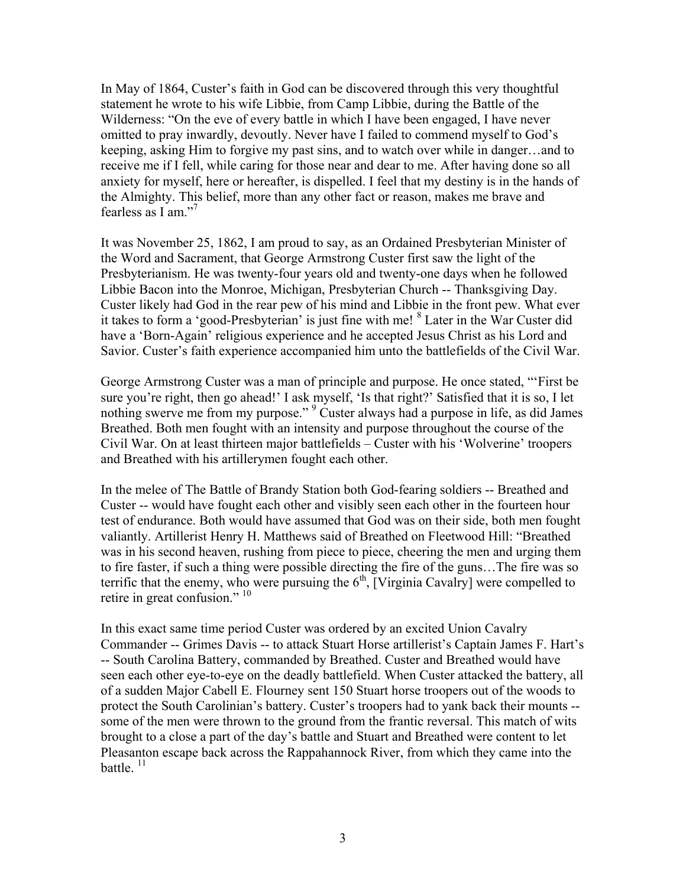In May of 1864, Custer's faith in God can be discovered through this very thoughtful statement he wrote to his wife Libbie, from Camp Libbie, during the Battle of the Wilderness: "On the eve of every battle in which I have been engaged, I have never omitted to pray inwardly, devoutly. Never have I failed to commend myself to God's keeping, asking Him to forgive my past sins, and to watch over while in danger…and to receive me if I fell, while caring for those near and dear to me. After having done so all anxiety for myself, here or hereafter, is dispelled. I feel that my destiny is in the hands of the Almighty. This belief, more than any other fact or reason, makes me brave and fearless as I am."<sup>7</sup>

It was November 25, 1862, I am proud to say, as an Ordained Presbyterian Minister of the Word and Sacrament, that George Armstrong Custer first saw the light of the Presbyterianism. He was twenty-four years old and twenty-one days when he followed Libbie Bacon into the Monroe, Michigan, Presbyterian Church -- Thanksgiving Day. Custer likely had God in the rear pew of his mind and Libbie in the front pew. What ever it takes to form a 'good-Presbyterian' is just fine with me! <sup>8</sup> Later in the War Custer did have a 'Born-Again' religious experience and he accepted Jesus Christ as his Lord and Savior. Custer's faith experience accompanied him unto the battlefields of the Civil War.

George Armstrong Custer was a man of principle and purpose. He once stated, "'First be sure you're right, then go ahead!' I ask myself, 'Is that right?' Satisfied that it is so, I let nothing swerve me from my purpose."<sup>9</sup> Custer always had a purpose in life, as did James Breathed. Both men fought with an intensity and purpose throughout the course of the Civil War. On at least thirteen major battlefields – Custer with his 'Wolverine' troopers and Breathed with his artillerymen fought each other.

In the melee of The Battle of Brandy Station both God-fearing soldiers -- Breathed and Custer -- would have fought each other and visibly seen each other in the fourteen hour test of endurance. Both would have assumed that God was on their side, both men fought valiantly. Artillerist Henry H. Matthews said of Breathed on Fleetwood Hill: "Breathed was in his second heaven, rushing from piece to piece, cheering the men and urging them to fire faster, if such a thing were possible directing the fire of the guns…The fire was so terrific that the enemy, who were pursuing the  $6<sup>th</sup>$ , [Virginia Cavalry] were compelled to retire in great confusion."<sup>10</sup>

In this exact same time period Custer was ordered by an excited Union Cavalry Commander -- Grimes Davis -- to attack Stuart Horse artillerist's Captain James F. Hart's -- South Carolina Battery, commanded by Breathed. Custer and Breathed would have seen each other eye-to-eye on the deadly battlefield. When Custer attacked the battery, all of a sudden Major Cabell E. Flourney sent 150 Stuart horse troopers out of the woods to protect the South Carolinian's battery. Custer's troopers had to yank back their mounts - some of the men were thrown to the ground from the frantic reversal. This match of wits brought to a close a part of the day's battle and Stuart and Breathed were content to let Pleasanton escape back across the Rappahannock River, from which they came into the battle.  $^{11}$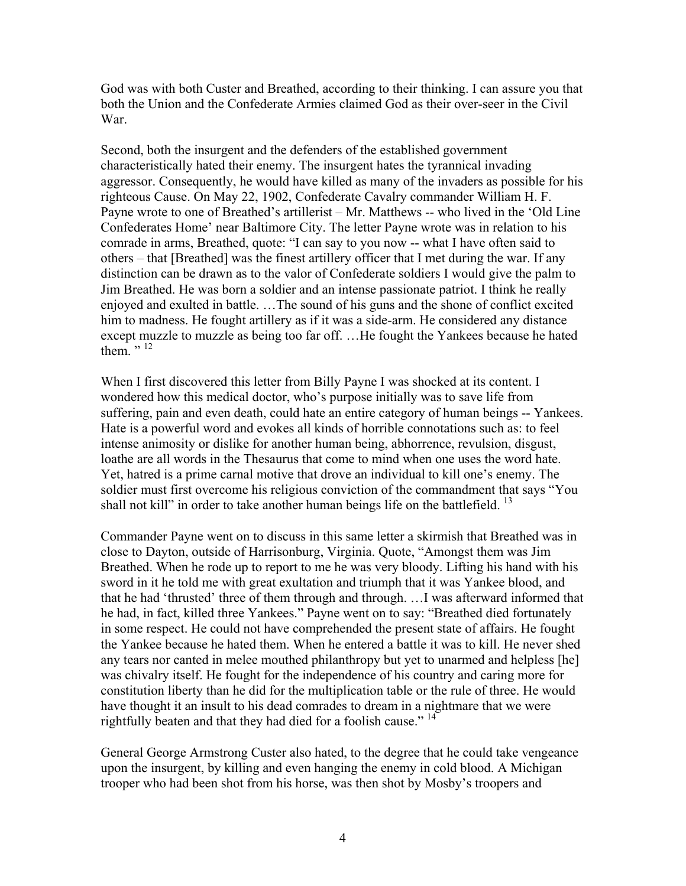God was with both Custer and Breathed, according to their thinking. I can assure you that both the Union and the Confederate Armies claimed God as their over-seer in the Civil War.

Second, both the insurgent and the defenders of the established government characteristically hated their enemy. The insurgent hates the tyrannical invading aggressor. Consequently, he would have killed as many of the invaders as possible for his righteous Cause. On May 22, 1902, Confederate Cavalry commander William H. F. Payne wrote to one of Breathed's artillerist – Mr. Matthews -- who lived in the 'Old Line Confederates Home' near Baltimore City. The letter Payne wrote was in relation to his comrade in arms, Breathed, quote: "I can say to you now -- what I have often said to others – that [Breathed] was the finest artillery officer that I met during the war. If any distinction can be drawn as to the valor of Confederate soldiers I would give the palm to Jim Breathed. He was born a soldier and an intense passionate patriot. I think he really enjoyed and exulted in battle. …The sound of his guns and the shone of conflict excited him to madness. He fought artillery as if it was a side-arm. He considered any distance except muzzle to muzzle as being too far off. …He fought the Yankees because he hated them.  $\cdot$ , 12

When I first discovered this letter from Billy Payne I was shocked at its content. I wondered how this medical doctor, who's purpose initially was to save life from suffering, pain and even death, could hate an entire category of human beings -- Yankees. Hate is a powerful word and evokes all kinds of horrible connotations such as: to feel intense animosity or dislike for another human being, abhorrence, revulsion, disgust, loathe are all words in the Thesaurus that come to mind when one uses the word hate. Yet, hatred is a prime carnal motive that drove an individual to kill one's enemy. The soldier must first overcome his religious conviction of the commandment that says "You shall not kill" in order to take another human beings life on the battlefield.  $13$ 

Commander Payne went on to discuss in this same letter a skirmish that Breathed was in close to Dayton, outside of Harrisonburg, Virginia. Quote, "Amongst them was Jim Breathed. When he rode up to report to me he was very bloody. Lifting his hand with his sword in it he told me with great exultation and triumph that it was Yankee blood, and that he had 'thrusted' three of them through and through. …I was afterward informed that he had, in fact, killed three Yankees." Payne went on to say: "Breathed died fortunately in some respect. He could not have comprehended the present state of affairs. He fought the Yankee because he hated them. When he entered a battle it was to kill. He never shed any tears nor canted in melee mouthed philanthropy but yet to unarmed and helpless [he] was chivalry itself. He fought for the independence of his country and caring more for constitution liberty than he did for the multiplication table or the rule of three. He would have thought it an insult to his dead comrades to dream in a nightmare that we were rightfully beaten and that they had died for a foolish cause."<sup>14</sup>

General George Armstrong Custer also hated, to the degree that he could take vengeance upon the insurgent, by killing and even hanging the enemy in cold blood. A Michigan trooper who had been shot from his horse, was then shot by Mosby's troopers and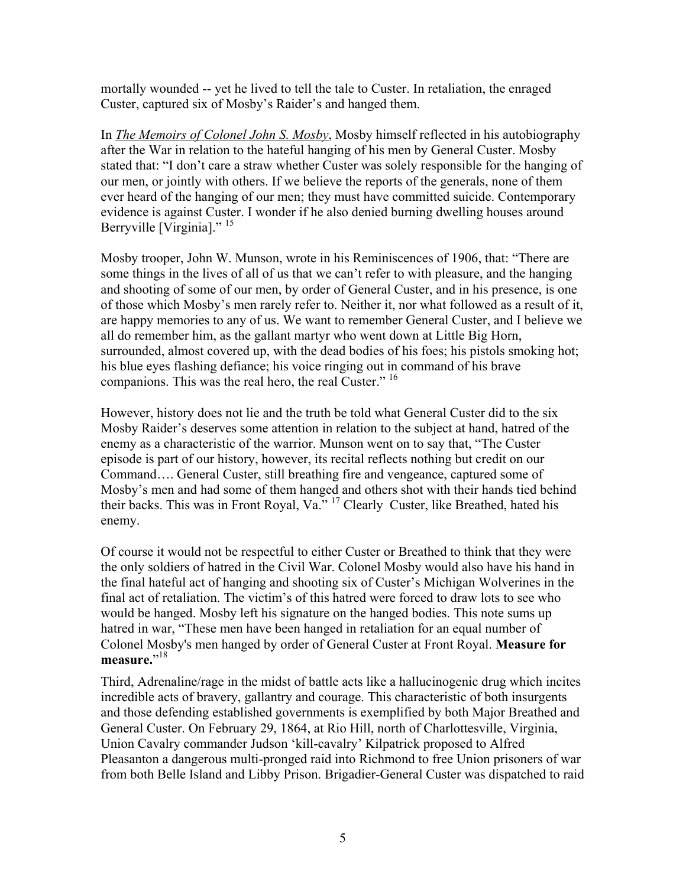mortally wounded -- yet he lived to tell the tale to Custer. In retaliation, the enraged Custer, captured six of Mosby's Raider's and hanged them.

In *The Memoirs of Colonel John S. Mosby*, Mosby himself reflected in his autobiography after the War in relation to the hateful hanging of his men by General Custer. Mosby stated that: "I don't care a straw whether Custer was solely responsible for the hanging of our men, or jointly with others. If we believe the reports of the generals, none of them ever heard of the hanging of our men; they must have committed suicide. Contemporary evidence is against Custer. I wonder if he also denied burning dwelling houses around Berryville [Virginia]."<sup>15</sup>

Mosby trooper, John W. Munson, wrote in his Reminiscences of 1906, that: "There are some things in the lives of all of us that we can't refer to with pleasure, and the hanging and shooting of some of our men, by order of General Custer, and in his presence, is one of those which Mosby's men rarely refer to. Neither it, nor what followed as a result of it, are happy memories to any of us. We want to remember General Custer, and I believe we all do remember him, as the gallant martyr who went down at Little Big Horn, surrounded, almost covered up, with the dead bodies of his foes; his pistols smoking hot; his blue eyes flashing defiance; his voice ringing out in command of his brave companions. This was the real hero, the real Custer." <sup>16</sup>

However, history does not lie and the truth be told what General Custer did to the six Mosby Raider's deserves some attention in relation to the subject at hand, hatred of the enemy as a characteristic of the warrior. Munson went on to say that, "The Custer episode is part of our history, however, its recital reflects nothing but credit on our Command…. General Custer, still breathing fire and vengeance, captured some of Mosby's men and had some of them hanged and others shot with their hands tied behind their backs. This was in Front Royal, Va." 17 Clearly Custer, like Breathed, hated his enemy.

Of course it would not be respectful to either Custer or Breathed to think that they were the only soldiers of hatred in the Civil War. Colonel Mosby would also have his hand in the final hateful act of hanging and shooting six of Custer's Michigan Wolverines in the final act of retaliation. The victim's of this hatred were forced to draw lots to see who would be hanged. Mosby left his signature on the hanged bodies. This note sums up hatred in war, "These men have been hanged in retaliation for an equal number of Colonel Mosby's men hanged by order of General Custer at Front Royal. **Measure for**  measure."<sup>18</sup>

Third, Adrenaline/rage in the midst of battle acts like a hallucinogenic drug which incites incredible acts of bravery, gallantry and courage. This characteristic of both insurgents and those defending established governments is exemplified by both Major Breathed and General Custer. On February 29, 1864, at Rio Hill, north of Charlottesville, Virginia, Union Cavalry commander Judson 'kill-cavalry' Kilpatrick proposed to Alfred Pleasanton a dangerous multi-pronged raid into Richmond to free Union prisoners of war from both Belle Island and Libby Prison. Brigadier-General Custer was dispatched to raid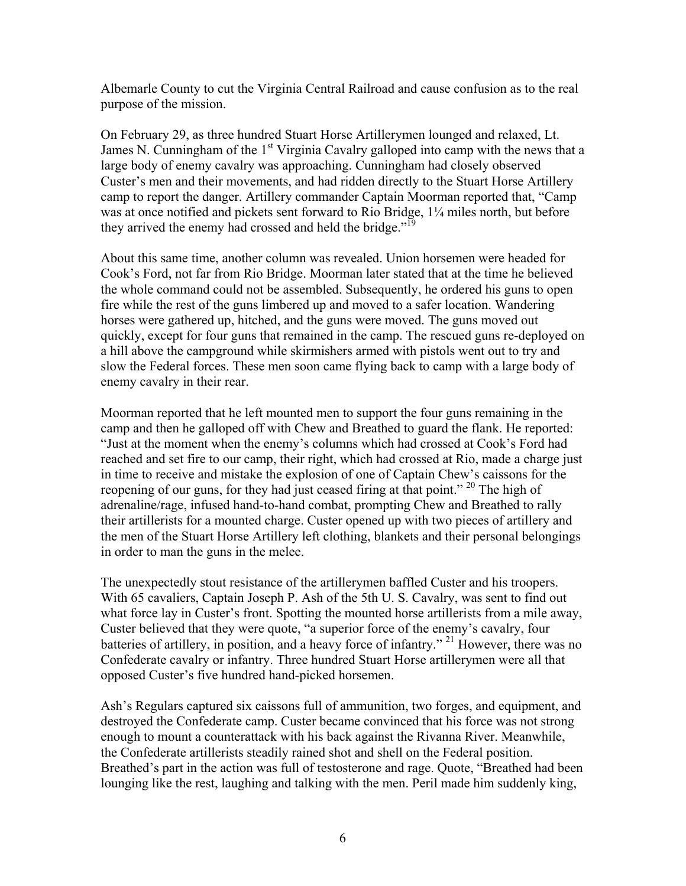Albemarle County to cut the Virginia Central Railroad and cause confusion as to the real purpose of the mission.

On February 29, as three hundred Stuart Horse Artillerymen lounged and relaxed, Lt. James N. Cunningham of the  $1<sup>st</sup> Virginia$  Cavalry galloped into camp with the news that a large body of enemy cavalry was approaching. Cunningham had closely observed Custer's men and their movements, and had ridden directly to the Stuart Horse Artillery camp to report the danger. Artillery commander Captain Moorman reported that, "Camp was at once notified and pickets sent forward to Rio Bridge, 1¼ miles north, but before they arrived the enemy had crossed and held the bridge.<sup>"19</sup>

About this same time, another column was revealed. Union horsemen were headed for Cook's Ford, not far from Rio Bridge. Moorman later stated that at the time he believed the whole command could not be assembled. Subsequently, he ordered his guns to open fire while the rest of the guns limbered up and moved to a safer location. Wandering horses were gathered up, hitched, and the guns were moved. The guns moved out quickly, except for four guns that remained in the camp. The rescued guns re-deployed on a hill above the campground while skirmishers armed with pistols went out to try and slow the Federal forces. These men soon came flying back to camp with a large body of enemy cavalry in their rear.

Moorman reported that he left mounted men to support the four guns remaining in the camp and then he galloped off with Chew and Breathed to guard the flank. He reported: "Just at the moment when the enemy's columns which had crossed at Cook's Ford had reached and set fire to our camp, their right, which had crossed at Rio, made a charge just in time to receive and mistake the explosion of one of Captain Chew's caissons for the reopening of our guns, for they had just ceased firing at that point." <sup>20</sup> The high of adrenaline/rage, infused hand-to-hand combat, prompting Chew and Breathed to rally their artillerists for a mounted charge. Custer opened up with two pieces of artillery and the men of the Stuart Horse Artillery left clothing, blankets and their personal belongings in order to man the guns in the melee.

The unexpectedly stout resistance of the artillerymen baffled Custer and his troopers. With 65 cavaliers, Captain Joseph P. Ash of the 5th U. S. Cavalry, was sent to find out what force lay in Custer's front. Spotting the mounted horse artillerists from a mile away, Custer believed that they were quote, "a superior force of the enemy's cavalry, four batteries of artillery, in position, and a heavy force of infantry."<sup>21</sup> However, there was no Confederate cavalry or infantry. Three hundred Stuart Horse artillerymen were all that opposed Custer's five hundred hand-picked horsemen.

Ash's Regulars captured six caissons full of ammunition, two forges, and equipment, and destroyed the Confederate camp. Custer became convinced that his force was not strong enough to mount a counterattack with his back against the Rivanna River. Meanwhile, the Confederate artillerists steadily rained shot and shell on the Federal position. Breathed's part in the action was full of testosterone and rage. Quote, "Breathed had been lounging like the rest, laughing and talking with the men. Peril made him suddenly king,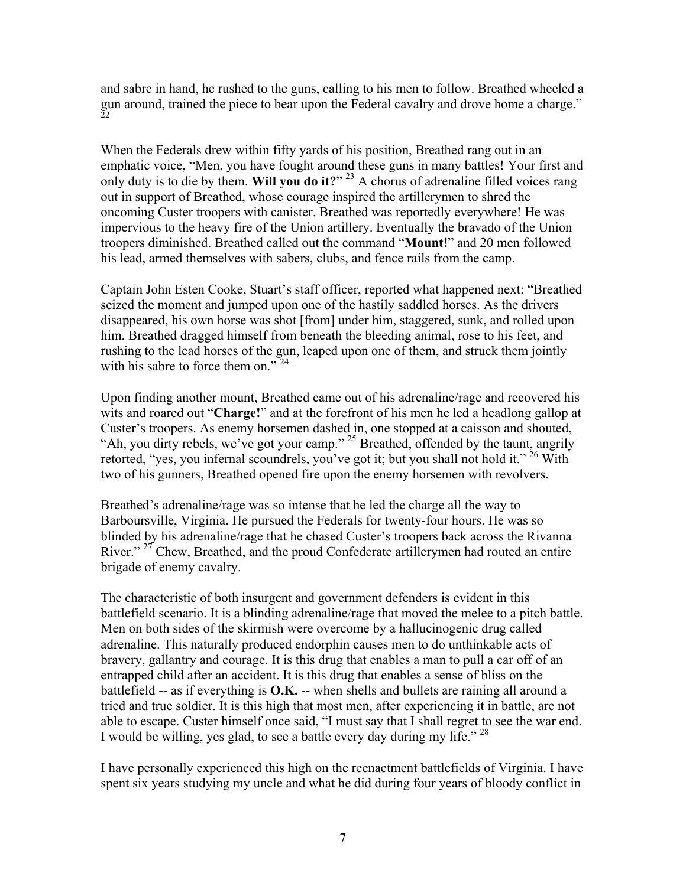and sabre in hand, he rushed to the guns, calling to his men to follow. Breathed wheeled a gun around, trained the piece to bear upon the Federal cavalry and drove home a charge." 22

When the Federals drew within fifty yards of his position, Breathed rang out in an emphatic voice, "Men, you have fought around these guns in many battles! Your first and only duty is to die by them. **Will you do it?**" 23 A chorus of adrenaline filled voices rang out in support of Breathed, whose courage inspired the artillerymen to shred the oncoming Custer troopers with canister. Breathed was reportedly everywhere! He was impervious to the heavy fire of the Union artillery. Eventually the bravado of the Union troopers diminished. Breathed called out the command "**Mount!**" and 20 men followed his lead, armed themselves with sabers, clubs, and fence rails from the camp.

Captain John Esten Cooke, Stuart's staff officer, reported what happened next: "Breathed seized the moment and jumped upon one of the hastily saddled horses. As the drivers disappeared, his own horse was shot [from] under him, staggered, sunk, and rolled upon him. Breathed dragged himself from beneath the bleeding animal, rose to his feet, and rushing to the lead horses of the gun, leaped upon one of them, and struck them jointly with his sabre to force them on."<sup>24</sup>

Upon finding another mount, Breathed came out of his adrenaline/rage and recovered his wits and roared out "**Charge!**" and at the forefront of his men he led a headlong gallop at Custer's troopers. As enemy horsemen dashed in, one stopped at a caisson and shouted, "Ah, you dirty rebels, we've got your camp."<sup>25</sup> Breathed, offended by the taunt, angrily retorted, "yes, you infernal scoundrels, you've got it; but you shall not hold it." <sup>26</sup> With two of his gunners, Breathed opened fire upon the enemy horsemen with revolvers.

Breathed's adrenaline/rage was so intense that he led the charge all the way to Barboursville, Virginia. He pursued the Federals for twenty-four hours. He was so blinded by his adrenaline/rage that he chased Custer's troopers back across the Rivanna River."<sup>27</sup> Chew, Breathed, and the proud Confederate artillerymen had routed an entire brigade of enemy cavalry.

The characteristic of both insurgent and government defenders is evident in this battlefield scenario. It is a blinding adrenaline/rage that moved the melee to a pitch battle. Men on both sides of the skirmish were overcome by a hallucinogenic drug called adrenaline. This naturally produced endorphin causes men to do unthinkable acts of bravery, gallantry and courage. It is this drug that enables a man to pull a car off of an entrapped child after an accident. It is this drug that enables a sense of bliss on the battlefield -- as if everything is **O.K.** -- when shells and bullets are raining all around a tried and true soldier. It is this high that most men, after experiencing it in battle, are not able to escape. Custer himself once said, "I must say that I shall regret to see the war end. I would be willing, yes glad, to see a battle every day during my life." 28

I have personally experienced this high on the reenactment battlefields of Virginia. I have spent six years studying my uncle and what he did during four years of bloody conflict in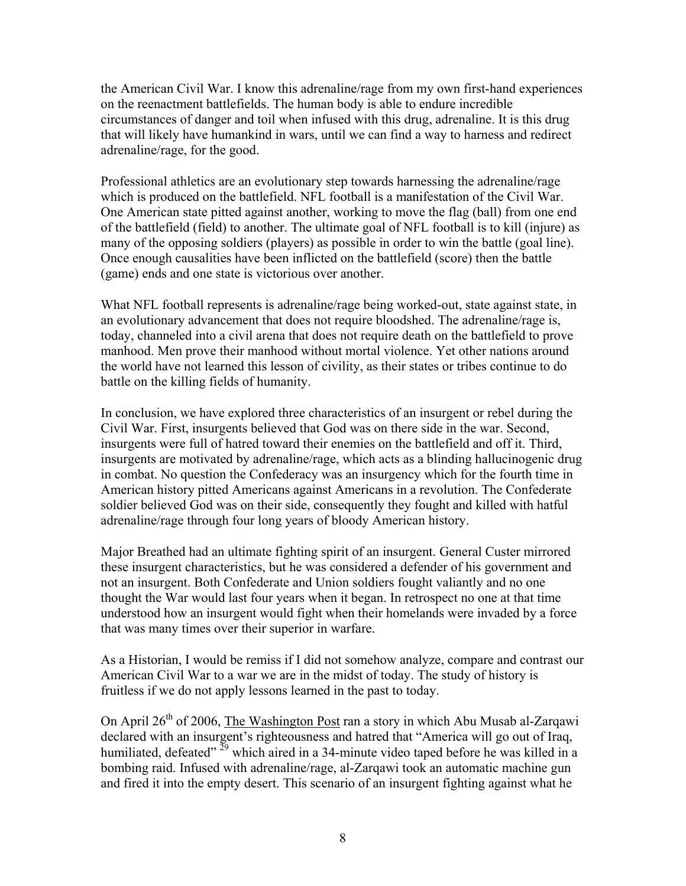the American Civil War. I know this adrenaline/rage from my own first-hand experiences on the reenactment battlefields. The human body is able to endure incredible circumstances of danger and toil when infused with this drug, adrenaline. It is this drug that will likely have humankind in wars, until we can find a way to harness and redirect adrenaline/rage, for the good.

Professional athletics are an evolutionary step towards harnessing the adrenaline/rage which is produced on the battlefield. NFL football is a manifestation of the Civil War. One American state pitted against another, working to move the flag (ball) from one end of the battlefield (field) to another. The ultimate goal of NFL football is to kill (injure) as many of the opposing soldiers (players) as possible in order to win the battle (goal line). Once enough causalities have been inflicted on the battlefield (score) then the battle (game) ends and one state is victorious over another.

What NFL football represents is adrenaline/rage being worked-out, state against state, in an evolutionary advancement that does not require bloodshed. The adrenaline/rage is, today, channeled into a civil arena that does not require death on the battlefield to prove manhood. Men prove their manhood without mortal violence. Yet other nations around the world have not learned this lesson of civility, as their states or tribes continue to do battle on the killing fields of humanity.

In conclusion, we have explored three characteristics of an insurgent or rebel during the Civil War. First, insurgents believed that God was on there side in the war. Second, insurgents were full of hatred toward their enemies on the battlefield and off it. Third, insurgents are motivated by adrenaline/rage, which acts as a blinding hallucinogenic drug in combat. No question the Confederacy was an insurgency which for the fourth time in American history pitted Americans against Americans in a revolution. The Confederate soldier believed God was on their side, consequently they fought and killed with hatful adrenaline/rage through four long years of bloody American history.

Major Breathed had an ultimate fighting spirit of an insurgent. General Custer mirrored these insurgent characteristics, but he was considered a defender of his government and not an insurgent. Both Confederate and Union soldiers fought valiantly and no one thought the War would last four years when it began. In retrospect no one at that time understood how an insurgent would fight when their homelands were invaded by a force that was many times over their superior in warfare.

As a Historian, I would be remiss if I did not somehow analyze, compare and contrast our American Civil War to a war we are in the midst of today. The study of history is fruitless if we do not apply lessons learned in the past to today.

On April  $26<sup>th</sup>$  of 2006, The Washington Post ran a story in which Abu Musab al-Zarqawi declared with an insurgent's righteousness and hatred that "America will go out of Iraq, humiliated, defeated"  $^{29}$  which aired in a 34-minute video taped before he was killed in a bombing raid. Infused with adrenaline/rage, al-Zarqawi took an automatic machine gun and fired it into the empty desert. This scenario of an insurgent fighting against what he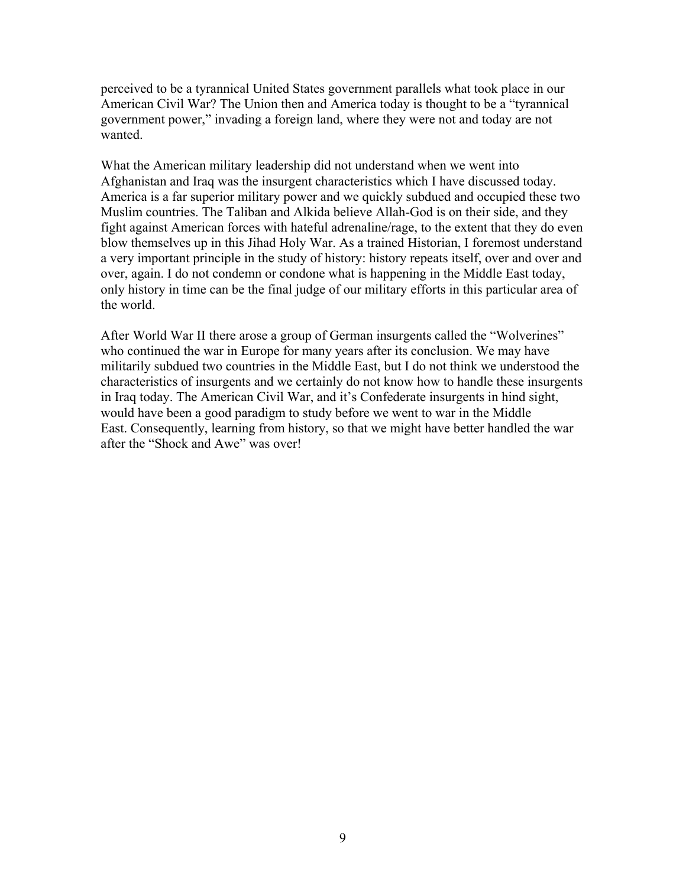perceived to be a tyrannical United States government parallels what took place in our American Civil War? The Union then and America today is thought to be a "tyrannical government power," invading a foreign land, where they were not and today are not wanted.

What the American military leadership did not understand when we went into Afghanistan and Iraq was the insurgent characteristics which I have discussed today. America is a far superior military power and we quickly subdued and occupied these two Muslim countries. The Taliban and Alkida believe Allah-God is on their side, and they fight against American forces with hateful adrenaline/rage, to the extent that they do even blow themselves up in this Jihad Holy War. As a trained Historian, I foremost understand a very important principle in the study of history: history repeats itself, over and over and over, again. I do not condemn or condone what is happening in the Middle East today, only history in time can be the final judge of our military efforts in this particular area of the world.

After World War II there arose a group of German insurgents called the "Wolverines" who continued the war in Europe for many years after its conclusion. We may have militarily subdued two countries in the Middle East, but I do not think we understood the characteristics of insurgents and we certainly do not know how to handle these insurgents in Iraq today. The American Civil War, and it's Confederate insurgents in hind sight, would have been a good paradigm to study before we went to war in the Middle East. Consequently, learning from history, so that we might have better handled the war after the "Shock and Awe" was over!